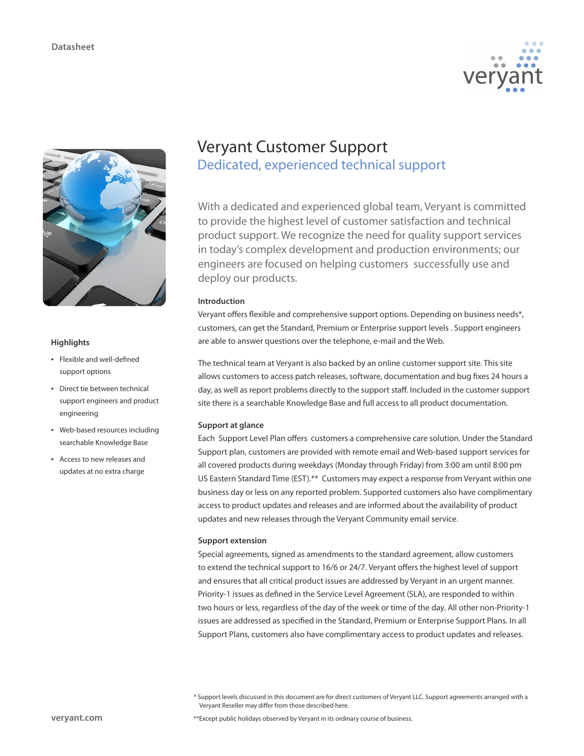



# **Highlights**

- • Flexible and well-defined support options
- • Direct tie between technical support engineers and product engineering
- • Web-based resources including searchable Knowledge Base
- • Access to new releases and updates at no extra charge

# Veryant Customer Support Dedicated, experienced technical support

With a dedicated and experienced global team, Veryant is committed to provide the highest level of customer satisfaction and technical product support. We recognize the need for quality support services in today's complex development and production environments; our engineers are focused on helping customers successfully use and deploy our products.

# **Introduction**

Veryant offers flexible and comprehensive support options. Depending on business needs\*, customers, can get the Standard, Premium or Enterprise support levels . Support engineers are able to answer questions over the telephone, e-mail and the Web.

The technical team at Veryant is also backed by an online customer support site. This site allows customers to access patch releases, software, documentation and bug fixes 24 hours a day, as well as report problems directly to the support staff. Included in the customer support site there is a searchable Knowledge Base and full access to all product documentation.

# **Support at glance**

Each Support Level Plan offers customers a comprehensive care solution. Under the Standard Support plan, customers are provided with remote email and Web-based support services for all covered products during weekdays (Monday through Friday) from 3:00 am until 8:00 pm US Eastern Standard Time (EST).\*\* Customers may expect a response from Veryant within one business day or less on any reported problem. Supported customers also have complimentary access to product updates and releases and are informed about the availability of product updates and new releases through the Veryant Community email service.

### **Support extension**

Special agreements, signed as amendments to the standard agreement, allow customers to extend the technical support to 16/6 or 24/7. Veryant offers the highest level of support and ensures that all critical product issues are addressed by Veryant in an urgent manner. Priority-1 issues as defined in the Service Level Agreement (SLA), are responded to within two hours or less, regardless of the day of the week or time of the day. All other non-Priority-1 issues are addressed as specified in the Standard, Premium or Enterprise Support Plans. In all Support Plans, customers also have complimentary access to product updates and releases.

<sup>\*</sup> Support levels discussed in this document are for direct customers of Veryant LLC. Support agreements arranged with a Veryant Reseller may differ from those described here.